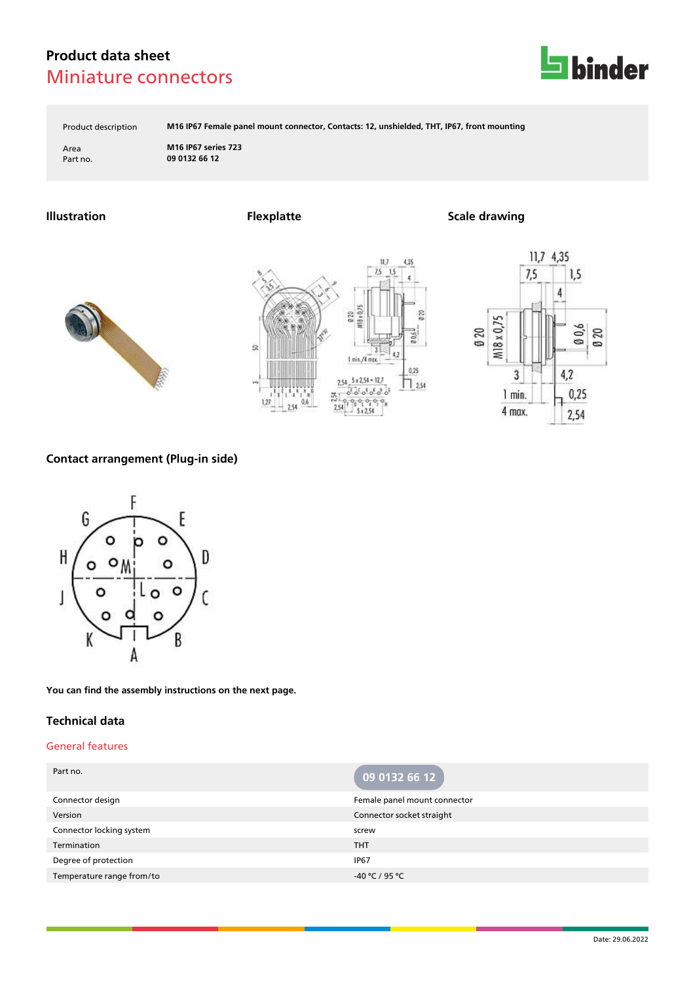

Product description **M16 IP67 Female panel mount connector, Contacts: 12, unshielded, THT, IP67, front mounting**

Area **M16 IP67 series 723** Part no. **09 0132 66 12**

**Illustration Flexplatte Scale drawing**







### **Contact arrangement (Plug-in side)**



**You can find the assembly instructions on the next page.**

### **Technical data**

#### General features

| Part no.                  | 09 0132 66 12                |
|---------------------------|------------------------------|
| Connector design          | Female panel mount connector |
| Version                   | Connector socket straight    |
| Connector locking system  | screw                        |
| Termination               | <b>THT</b>                   |
| Degree of protection      | <b>IP67</b>                  |
| Temperature range from/to | -40 °C / 95 °C               |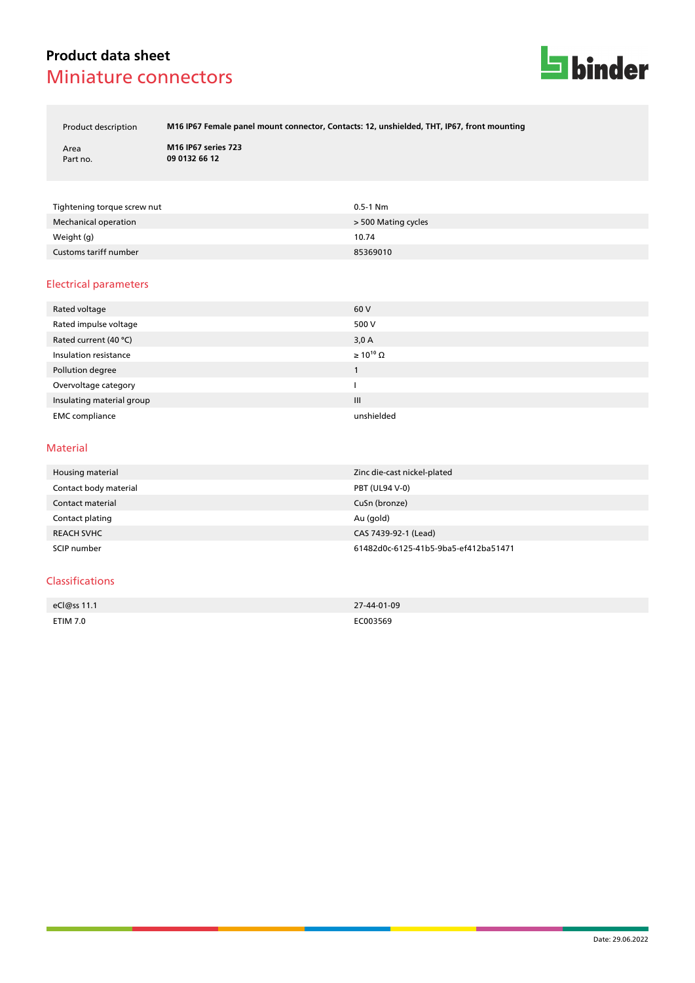

Product description **M16 IP67 Female panel mount connector, Contacts: 12, unshielded, THT, IP67, front mounting**

Area **M16 IP67 series 723** Part no. **09 0132 66 12**

| Tightening torque screw nut | $0.5 - 1$ Nm        |
|-----------------------------|---------------------|
| Mechanical operation        | > 500 Mating cycles |
| Weight (g)                  | 10.74               |
| Customs tariff number       | 85369010            |

#### Electrical parameters

| Rated voltage             | 60 V                  |
|---------------------------|-----------------------|
| Rated impulse voltage     | 500 V                 |
| Rated current (40 °C)     | 3,0A                  |
| Insulation resistance     | $\geq 10^{10} \Omega$ |
| Pollution degree          |                       |
| Overvoltage category      |                       |
| Insulating material group | $\mathbf{III}$        |
| <b>EMC</b> compliance     | unshielded            |

#### Material

| Housing material      | Zinc die-cast nickel-plated          |
|-----------------------|--------------------------------------|
| Contact body material | <b>PBT (UL94 V-0)</b>                |
| Contact material      | CuSn (bronze)                        |
| Contact plating       | Au (gold)                            |
| <b>REACH SVHC</b>     | CAS 7439-92-1 (Lead)                 |
| SCIP number           | 61482d0c-6125-41b5-9ba5-ef412ba51471 |

### Classifications

| eCl@ss 11.1 | 27-44-01-09 |
|-------------|-------------|
|             |             |
| ETIM 7.0    | EC003569    |
|             | .           |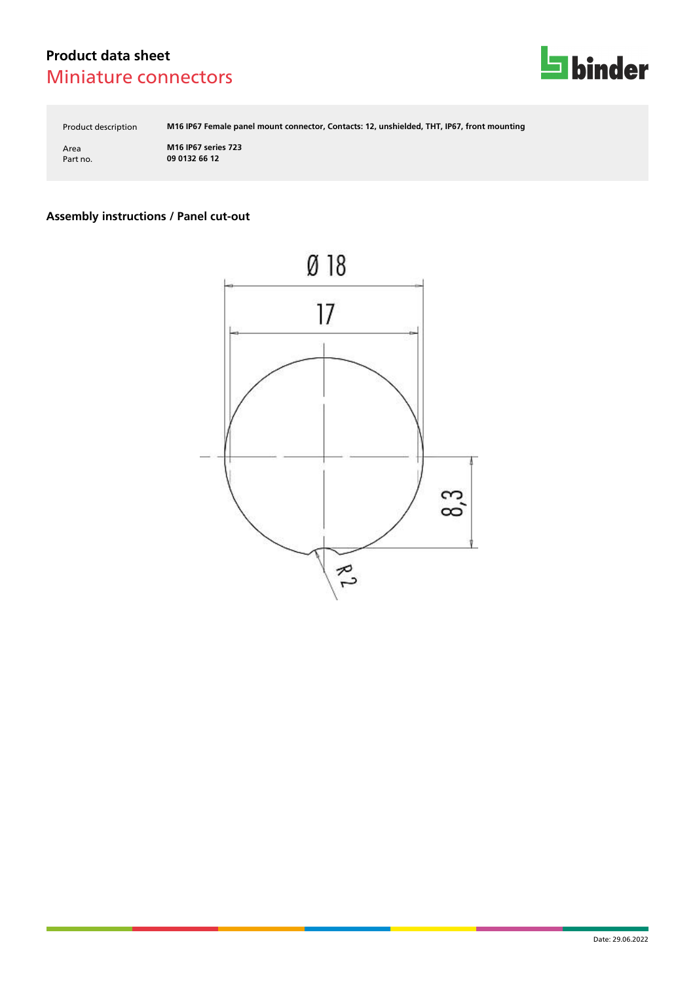

Product description **M16 IP67 Female panel mount connector, Contacts: 12, unshielded, THT, IP67, front mounting**

Area **M16 IP67 series 723** Part no. **09 0132 66 12**

## **Assembly instructions / Panel cut-out**